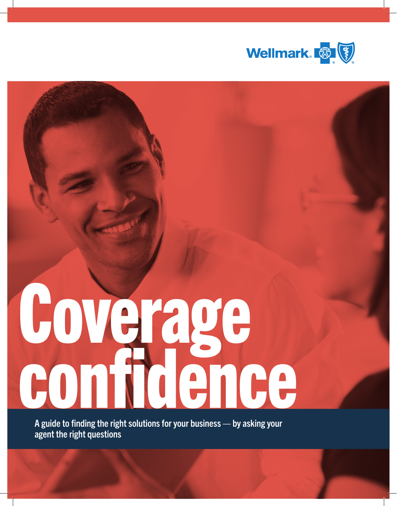

# Coverage confidence

A guide to finding the right solutions for your business — by asking your agent the right questions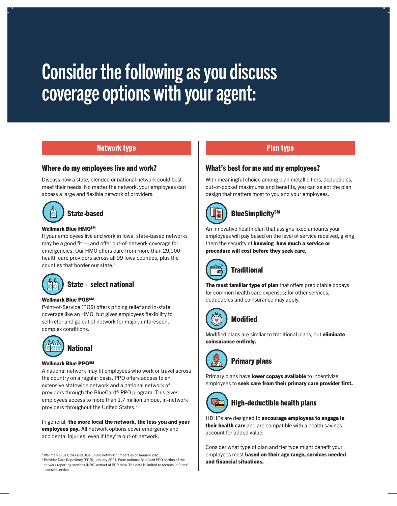# Consider the following as you discuss coverage options with your agent:

#### Network type

#### Where do my employees live and work?

Discuss how a state, blended or national network could best meet their needs. No matter the network, your employees can access a large and flexible network of providers.



#### Wellmark Blue HMOSM

If your employees live and work in Iowa, state-based networks may be a good fit — and offer out-of-network coverage for emergencies. Our HMO offers care from more than 29,000 health care providers across all 99 Iowa counties, plus the counties that border our state.<sup>1</sup>

# State + select national

#### Wellmark Blue POSSM

Point-of-Service (POS) offers pricing relief and in-state coverage like an HMO, but gives employees flexibility to self-refer and go out of network for major, unforeseen, complex conditions.



#### Wellmark Blue PPOSM

A national network may fit employees who work or travel across the country on a regular basis. PPO offers access to an extensive statewide network and a national network of providers through the BlueCard® PPO program. This gives employees access to more than 1.7 million unique, in-network providers throughout the United States.[2](#page-1-1)

In general, the more local the network, the less you and your employees pay. All network options cover emergency and accidental injuries, even if they're out-of-network.

#### Plan type

#### What's best for me and my employees?

With meaningful choice among plan metallic tiers, deductibles, out-of-pocket maximums and benefits, you can select the plan design that matters most to you and your employees.



## **BlueSimplicity**SM

An innovative health plan that assigns fixed amounts your employees will pay based on the level of service received, giving them the security of knowing how much a service or procedure will cost before they seek care.



The most familiar type of plan that offers predictable copays for common health care expenses; for other services, deductibles and coinsurance may apply.



Modified

Modified plans are similar to traditional plans, but *eliminate* coinsurance entirely.



# Primary plans

Primary plans have lower copays available to incentivize employees to seek care from their primary care provider first.



#### High-deductible health plans

HDHPs are designed to encourage employees to engage in their health care and are compatible with a health savings account for added value.

Consider what type of plan and tier type might benefit your employees most based on their age range, services needed and financial situations.

<span id="page-1-0"></span><sup>1</sup> Wellmark Blue Cross and Blue Shield network numbers as of January 2021.

<span id="page-1-1"></span><sup>2</sup> Provider Data Repository (PDR), January 2021. From national BlueCard PPO portion of the network reporting services (NRS) extract of PDR data. The data is limited to records in Plans' licensed service.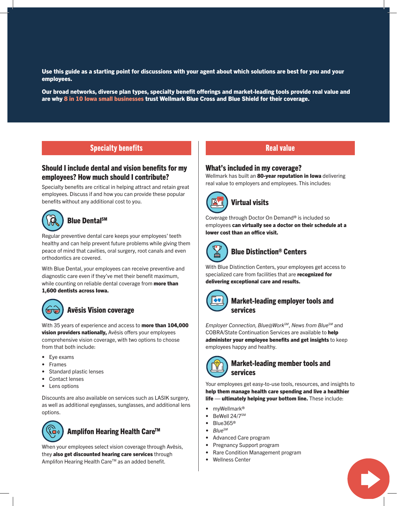Use this guide as a starting point for discussions with your agent about which solutions are best for you and your employees.

Our broad networks, diverse plan types, specialty benefit offerings and market-leading tools provide real value and are why 8 in 10 Iowa small businesses trust Wellmark Blue Cross and Blue Shield for their coverage.

#### Specialty benefits

#### Should I include dental and vision benefits for my employees? How much should I contribute?

Specialty benefits are critical in helping attract and retain great employees. Discuss if and how you can provide these popular benefits without any additional cost to you.

#### $\mathcal{R}$ Blue DentalSM

Regular preventive dental care keeps your employees' teeth healthy and can help prevent future problems while giving them peace of mind that cavities, oral surgery, root canals and even orthodontics are covered.

With Blue Dental, your employees can receive preventive and diagnostic care even if they've met their benefit maximum, while counting on reliable dental coverage from more than 1,600 dentists across Iowa.



#### Avēsis Vision coverage

With 35 years of experience and access to more than 104,000 **vision providers nationally, Avesis offers your employees** comprehensive vision coverage, with two options to choose from that both include:

- Eye exams
- Frames
- Standard plastic lenses
- Contact lenses
- Lens options

Discounts are also available on services such as LASIK surgery, as well as additional eyeglasses, sunglasses, and additional lens options.



#### Amplifon Hearing Health Care<sup>™</sup>

When your employees select vision coverage through Avēsis, they also get discounted hearing care services through Amplifon Hearing Health Care™ as an added benefit.

#### Real value

#### What's included in my coverage?

Wellmark has built an 80-year reputation in lowa delivering real value to employers and employees. This includes:



#### Virtual visits

Coverage through Doctor On Demand® is included so employees can virtually see a doctor on their schedule at a lower cost than an office visit.



#### Blue Distinction® Centers

With Blue Distinction Centers, your employees get access to specialized care from facilities that are recognized for delivering exceptional care and results.



#### Market-leading employer tools and services

*Employer Connection, Blue@WorkSM*, *News from BlueSM* and COBRA/State Continuation Services are available to help administer your employee benefits and get insights to keep employees happy and healthy.



#### Market-leading member tools and services

Your employees get easy-to-use tools, resources, and insights to help them manage health care spending and live a healthier life — ultimately helping your bottom line. These include:

- mvWellmark<sup>®</sup>
- BeWell 24/7SM
- Blue365®
- *• BlueSM*
- Advanced Care program
- Pregnancy Support program
- Rare Condition Management program
- Wellness Center